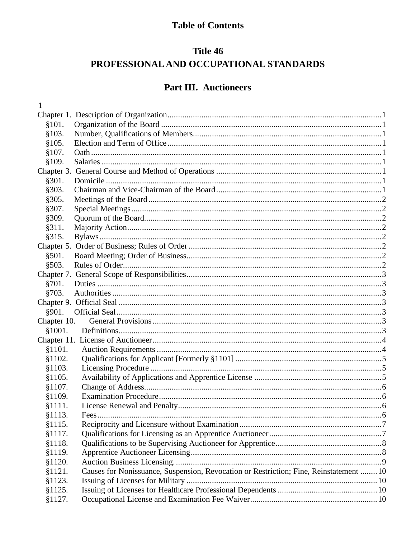# **Table of Contents**

# Title 46 PROFESSIONAL AND OCCUPATIONAL STANDARDS

# Part III. Auctioneers

| 1           |                                                                                        |  |
|-------------|----------------------------------------------------------------------------------------|--|
|             |                                                                                        |  |
| \$101.      |                                                                                        |  |
| \$103.      |                                                                                        |  |
| §105.       |                                                                                        |  |
| \$107.      |                                                                                        |  |
| \$109.      |                                                                                        |  |
|             |                                                                                        |  |
| §301.       |                                                                                        |  |
| §303.       |                                                                                        |  |
| §305.       |                                                                                        |  |
| §307.       |                                                                                        |  |
| §309.       |                                                                                        |  |
| §311.       |                                                                                        |  |
| §315.       |                                                                                        |  |
|             |                                                                                        |  |
| §501.       |                                                                                        |  |
| \$503.      |                                                                                        |  |
|             |                                                                                        |  |
| §701.       |                                                                                        |  |
| §703.       |                                                                                        |  |
|             |                                                                                        |  |
| §901.       |                                                                                        |  |
| Chapter 10. |                                                                                        |  |
| \$1001.     |                                                                                        |  |
|             |                                                                                        |  |
| \$1101.     |                                                                                        |  |
| §1102.      |                                                                                        |  |
| \$1103.     |                                                                                        |  |
| \$1105.     |                                                                                        |  |
| §1107.      |                                                                                        |  |
| \$1109.     |                                                                                        |  |
| \$1111.     |                                                                                        |  |
| §1113.      | Fees                                                                                   |  |
| §1115.      |                                                                                        |  |
| §1117.      |                                                                                        |  |
| §1118.      |                                                                                        |  |
| §1119.      |                                                                                        |  |
| \$1120.     |                                                                                        |  |
| §1121.      | Causes for Nonissuance, Suspension, Revocation or Restriction; Fine, Reinstatement  10 |  |
| §1123.      |                                                                                        |  |
| §1125.      |                                                                                        |  |
| §1127.      |                                                                                        |  |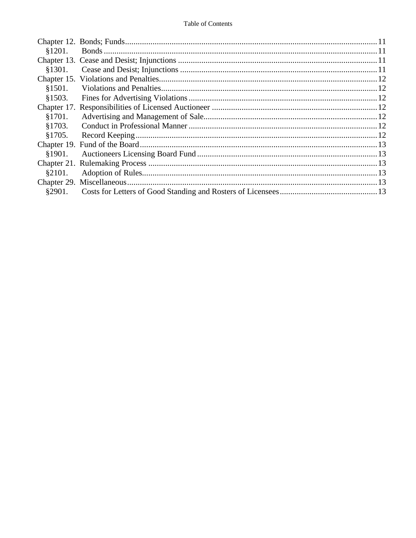| \$1201. |  |
|---------|--|
|         |  |
| \$1301. |  |
|         |  |
| §1501.  |  |
| §1503.  |  |
|         |  |
| §1701.  |  |
| §1703.  |  |
| \$1705. |  |
|         |  |
| \$1901. |  |
|         |  |
| §2101.  |  |
|         |  |
| §2901.  |  |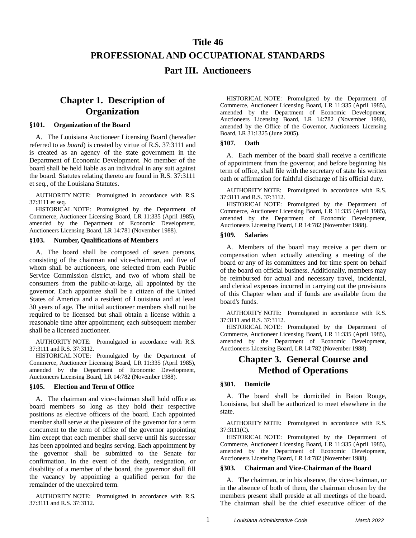# **Title 46 PROFESSIONAL AND OCCUPATIONAL STANDARDS Part III. Auctioneers**

## <span id="page-2-0"></span>**Chapter 1. Description of Organization**

#### <span id="page-2-2"></span><span id="page-2-1"></span>**§101. Organization of the Board**

A. The Louisiana Auctioneer Licensing Board (hereafter referred to as *board*) is created by virtue of R.S. 37:3111 and is created as an agency of the state government in the Department of Economic Development. No member of the board shall be held liable as an individual in any suit against the board. Statutes relating thereto are found in R.S. 37:3111 et seq., of the Louisiana Statutes.

AUTHORITY NOTE: Promulgated in accordance with R.S. 37:3111 et seq.

HISTORICAL NOTE: Promulgated by the Department of Commerce, Auctioneer Licensing Board, LR 11:335 (April 1985), amended by the Department of Economic Development, Auctioneers Licensing Board, LR 14:781 (November 1988).

#### <span id="page-2-3"></span>**§103. Number, Qualifications of Members**

A. The board shall be composed of seven persons, consisting of the chairman and vice-chairman, and five of whom shall be auctioneers, one selected from each Public Service Commission district, and two of whom shall be consumers from the public-at-large, all appointed by the governor. Each appointee shall be a citizen of the United States of America and a resident of Louisiana and at least 30 years of age. The initial auctioneer members shall not be required to be licensed but shall obtain a license within a reasonable time after appointment; each subsequent member shall be a licensed auctioneer.

AUTHORITY NOTE: Promulgated in accordance with R.S. 37:3111 and R.S. 37:3112.

HISTORICAL NOTE: Promulgated by the Department of Commerce, Auctioneer Licensing Board, LR 11:335 (April 1985), amended by the Department of Economic Development, Auctioneers Licensing Board, LR 14:782 (November 1988).

#### <span id="page-2-4"></span>**§105. Election and Term of Office**

A. The chairman and vice-chairman shall hold office as board members so long as they hold their respective positions as elective officers of the board. Each appointed member shall serve at the pleasure of the governor for a term concurrent to the term of office of the governor appointing him except that each member shall serve until his successor has been appointed and begins serving. Each appointment by the governor shall be submitted to the Senate for confirmation. In the event of the death, resignation, or disability of a member of the board, the governor shall fill the vacancy by appointing a qualified person for the remainder of the unexpired term.

AUTHORITY NOTE: Promulgated in accordance with R.S. 37:3111 and R.S. 37:3112.

HISTORICAL NOTE: Promulgated by the Department of Commerce, Auctioneer Licensing Board, LR 11:335 (April 1985), amended by the Department of Economic Development, Auctioneers Licensing Board, LR 14:782 (November 1988), amended by the Office of the Governor, Auctioneers Licensing Board, LR 31:1325 (June 2005).

#### <span id="page-2-5"></span>**§107. Oath**

A. Each member of the board shall receive a certificate of appointment from the governor, and before beginning his term of office, shall file with the secretary of state his written oath or affirmation for faithful discharge of his official duty.

AUTHORITY NOTE: Promulgated in accordance with R.S. 37:3111 and R.S. 37:3112.

HISTORICAL NOTE: Promulgated by the Department of Commerce, Auctioneer Licensing Board, LR 11:335 (April 1985), amended by the Department of Economic Development, Auctioneers Licensing Board, LR 14:782 (November 1988).

#### <span id="page-2-6"></span>**§109. Salaries**

A. Members of the board may receive a per diem or compensation when actually attending a meeting of the board or any of its committees and for time spent on behalf of the board on official business. Additionally, members may be reimbursed for actual and necessary travel, incidental, and clerical expenses incurred in carrying out the provisions of this Chapter when and if funds are available from the board's funds.

AUTHORITY NOTE: Promulgated in accordance with R.S. 37:3111 and R.S. 37:3112.

HISTORICAL NOTE: Promulgated by the Department of Commerce, Auctioneer Licensing Board, LR 11:335 (April 1985), amended by the Department of Economic Development, Auctioneers Licensing Board, LR 14:782 (November 1988).

### <span id="page-2-7"></span>**Chapter 3. General Course and Method of Operations**

#### <span id="page-2-8"></span>**§301. Domicile**

A. The board shall be domiciled in Baton Rouge, Louisiana, but shall be authorized to meet elsewhere in the state.

AUTHORITY NOTE: Promulgated in accordance with R.S. 37:3111(C).

HISTORICAL NOTE: Promulgated by the Department of Commerce, Auctioneer Licensing Board, LR 11:335 (April 1985), amended by the Department of Economic Development, Auctioneers Licensing Board, LR 14:782 (November 1988).

#### <span id="page-2-9"></span>**§303. Chairman and Vice-Chairman of the Board**

A. The chairman, or in his absence, the vice-chairman, or in the absence of both of them, the chairman chosen by the members present shall preside at all meetings of the board. The chairman shall be the chief executive officer of the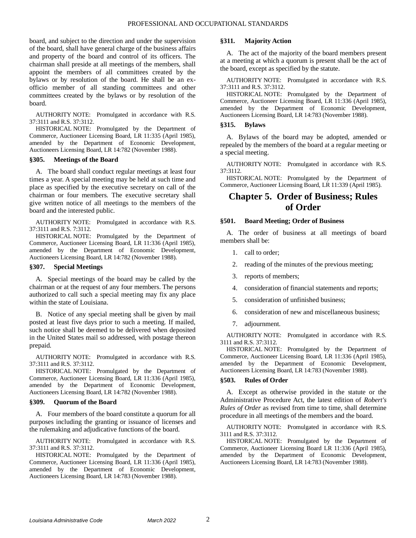board, and subject to the direction and under the supervision of the board, shall have general charge of the business affairs and property of the board and control of its officers. The chairman shall preside at all meetings of the members, shall appoint the members of all committees created by the bylaws or by resolution of the board. He shall be an exofficio member of all standing committees and other committees created by the bylaws or by resolution of the board.

AUTHORITY NOTE: Promulgated in accordance with R.S. 37:3111 and R.S. 37:3112.

HISTORICAL NOTE: Promulgated by the Department of Commerce, Auctioneer Licensing Board, LR 11:335 (April 1985), amended by the Department of Economic Development, Auctioneers Licensing Board, LR 14:782 (November 1988).

#### <span id="page-3-0"></span>**§305. Meetings of the Board**

A. The board shall conduct regular meetings at least four times a year. A special meeting may be held at such time and place as specified by the executive secretary on call of the chairman or four members. The executive secretary shall give written notice of all meetings to the members of the board and the interested public.

AUTHORITY NOTE: Promulgated in accordance with R.S. 37:3111 and R.S. 7:3112.

HISTORICAL NOTE: Promulgated by the Department of Commerce, Auctioneer Licensing Board, LR 11:336 (April 1985), amended by the Department of Economic Development, Auctioneers Licensing Board, LR 14:782 (November 1988).

#### <span id="page-3-1"></span>**§307. Special Meetings**

A. Special meetings of the board may be called by the chairman or at the request of any four members. The persons authorized to call such a special meeting may fix any place within the state of Louisiana.

B. Notice of any special meeting shall be given by mail posted at least five days prior to such a meeting. If mailed, such notice shall be deemed to be delivered when deposited in the United States mail so addressed, with postage thereon prepaid.

AUTHORITY NOTE: Promulgated in accordance with R.S. 37:3111 and R.S. 37:3112.

HISTORICAL NOTE: Promulgated by the Department of Commerce, Auctioneer Licensing Board, LR 11:336 (April 1985), amended by the Department of Economic Development, Auctioneers Licensing Board, LR 14:782 (November 1988).

#### <span id="page-3-2"></span>**§309. Quorum of the Board**

A. Four members of the board constitute a quorum for all purposes including the granting or issuance of licenses and the rulemaking and adjudicative functions of the board.

AUTHORITY NOTE: Promulgated in accordance with R.S. 37:3111 and R.S. 37:3112.

HISTORICAL NOTE: Promulgated by the Department of Commerce, Auctioneer Licensing Board, LR 11:336 (April 1985), amended by the Department of Economic Development, Auctioneers Licensing Board, LR 14:783 (November 1988).

#### <span id="page-3-3"></span>**§311. Majority Action**

A. The act of the majority of the board members present at a meeting at which a quorum is present shall be the act of the board, except as specified by the statute.

AUTHORITY NOTE: Promulgated in accordance with R.S. 37:3111 and R.S. 37:3112.

HISTORICAL NOTE: Promulgated by the Department of Commerce, Auctioneer Licensing Board, LR 11:336 (April 1985), amended by the Department of Economic Development, Auctioneers Licensing Board, LR 14:783 (November 1988).

#### <span id="page-3-4"></span>**§315. Bylaws**

A. Bylaws of the board may be adopted, amended or repealed by the members of the board at a regular meeting or a special meeting.

AUTHORITY NOTE: Promulgated in accordance with R.S. 37:3112.

HISTORICAL NOTE: Promulgated by the Department of Commerce, Auctioneer Licensing Board, LR 11:339 (April 1985).

### <span id="page-3-5"></span>**Chapter 5. Order of Business; Rules of Order**

#### <span id="page-3-6"></span>**§501. Board Meeting; Order of Business**

A. The order of business at all meetings of board members shall be:

- 1. call to order;
- 2. reading of the minutes of the previous meeting;
- 3. reports of members;
- 4. consideration of financial statements and reports;
- 5. consideration of unfinished business;
- 6. consideration of new and miscellaneous business;
- 7. adjournment.

AUTHORITY NOTE: Promulgated in accordance with R.S. 3111 and R.S. 37:3112.

HISTORICAL NOTE: Promulgated by the Department of Commerce, Auctioneer Licensing Board, LR 11:336 (April 1985), amended by the Department of Economic Development, Auctioneers Licensing Board, LR 14:783 (November 1988).

#### <span id="page-3-7"></span>**§503. Rules of Order**

A. Except as otherwise provided in the statute or the Administrative Procedure Act, the latest edition of *Robert's Rules of Order* as revised from time to time, shall determine procedure in all meetings of the members and the board.

AUTHORITY NOTE: Promulgated in accordance with R.S. 3111 and R.S. 37:3112.

HISTORICAL NOTE: Promulgated by the Department of Commerce, Auctioneer Licensing Board LR 11:336 (April 1985), amended by the Department of Economic Development, Auctioneers Licensing Board, LR 14:783 (November 1988).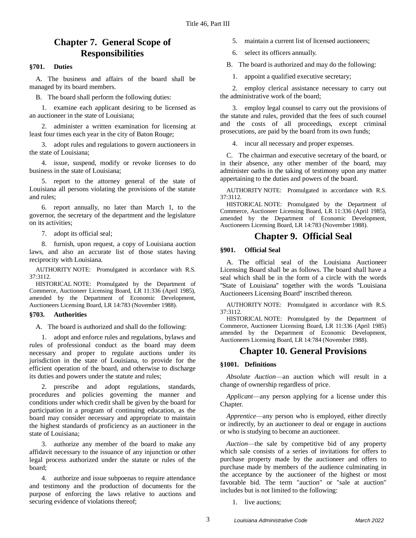## <span id="page-4-0"></span>**Chapter 7. General Scope of Responsibilities**

#### <span id="page-4-1"></span>**§701. Duties**

A. The business and affairs of the board shall be managed by its board members.

B. The board shall perform the following duties:

1. examine each applicant desiring to be licensed as an auctioneer in the state of Louisiana;

2. administer a written examination for licensing at least four times each year in the city of Baton Rouge;

3. adopt rules and regulations to govern auctioneers in the state of Louisiana;

4. issue, suspend, modify or revoke licenses to do business in the state of Louisiana;

5. report to the attorney general of the state of Louisiana all persons violating the provisions of the statute and rules;

6. report annually, no later than March 1, to the governor, the secretary of the department and the legislature on its activities;

7. adopt its official seal;

8. furnish, upon request, a copy of Louisiana auction laws, and also an accurate list of those states having reciprocity with Louisiana.

AUTHORITY NOTE: Promulgated in accordance with R.S. 37:3112.

HISTORICAL NOTE: Promulgated by the Department of Commerce, Auctioneer Licensing Board, LR 11:336 (April 1985), amended by the Department of Economic Development, Auctioneers Licensing Board, LR 14:783 (November 1988).

#### <span id="page-4-2"></span>**§703. Authorities**

A. The board is authorized and shall do the following:

1. adopt and enforce rules and regulations, bylaws and rules of professional conduct as the board may deem necessary and proper to regulate auctions under its jurisdiction in the state of Louisiana, to provide for the efficient operation of the board, and otherwise to discharge its duties and powers under the statute and rules;

2. prescribe and adopt regulations, standards, procedures and policies governing the manner and conditions under which credit shall be given by the board for participation in a program of continuing education, as the board may consider necessary and appropriate to maintain the highest standards of proficiency as an auctioneer in the state of Louisiana;

authorize any member of the board to make any affidavit necessary to the issuance of any injunction or other legal process authorized under the statute or rules of the board;

4. authorize and issue subpoenas to require attendance and testimony and the production of documents for the purpose of enforcing the laws relative to auctions and securing evidence of violations thereof;

5. maintain a current list of licensed auctioneers;

6. select its officers annually.

B. The board is authorized and may do the following:

1. appoint a qualified executive secretary;

2. employ clerical assistance necessary to carry out the administrative work of the board;

3. employ legal counsel to carry out the provisions of the statute and rules, provided that the fees of such counsel and the costs of all proceedings, except criminal prosecutions, are paid by the board from its own funds;

4. incur all necessary and proper expenses.

C. The chairman and executive secretary of the board, or in their absence, any other member of the board, may administer oaths in the taking of testimony upon any matter appertaining to the duties and powers of the board.

AUTHORITY NOTE: Promulgated in accordance with R.S. 37:3112.

HISTORICAL NOTE: Promulgated by the Department of Commerce, Auctioneer Licensing Board, LR 11:336 (April 1985), amended by the Department of Economic Development, Auctioneers Licensing Board, LR 14:783 (November 1988).

### **Chapter 9. Official Seal**

#### <span id="page-4-4"></span><span id="page-4-3"></span>**§901. Official Seal**

A. The official seal of the Louisiana Auctioneer Licensing Board shall be as follows. The board shall have a seal which shall be in the form of a circle with the words "State of Louisiana" together with the words "Louisiana Auctioneers Licensing Board'' inscribed thereon.

AUTHORITY NOTE: Promulgated in accordance with R.S. 37:3112.

HISTORICAL NOTE: Promulgated by the Department of Commerce, Auctioneer Licensing Board, LR 11:336 (April 1985) amended by the Department of Economic Development, Auctioneers Licensing Board, LR 14:784 (November 1988).

### **Chapter 10. General Provisions**

#### <span id="page-4-6"></span><span id="page-4-5"></span>**§1001. Definitions**

*Absolute Auction*—an auction which will result in a change of ownership regardless of price.

*Applicant*—any person applying for a license under this Chapter.

*Apprentice*—any person who is employed, either directly or indirectly, by an auctioneer to deal or engage in auctions or who is studying to become an auctioneer.

*Auction*—the sale by competitive bid of any property which sale consists of a series of invitations for offers to purchase property made by the auctioneer and offers to purchase made by members of the audience culminating in the acceptance by the auctioneer of the highest or most favorable bid. The term "auction" or "sale at auction" includes but is not limited to the following:

1. live auctions;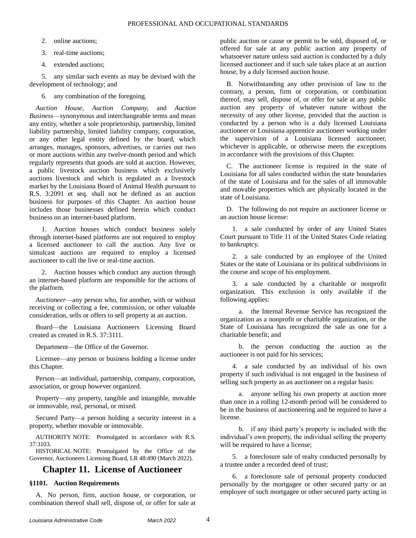- 2. online auctions;
- 3. real-time auctions;
- 4. extended auctions;

5. any similar such events as may be devised with the development of technology; and

6. any combination of the foregoing.

*Auction House*, *Auction Company,* and *Auction Business*—synonymous and interchangeable terms and mean any entity, whether a sole proprietorship, partnership, limited liability partnership, limited liability company, corporation, or any other legal entity defined by the board, which arranges, manages, sponsors, advertises, or carries out two or more auctions within any twelve-month period and which regularly represents that goods are sold at auction. However, a public livestock auction business which exclusively auctions livestock and which is regulated as a livestock market by the Louisiana Board of Animal Health pursuant to R.S. 3:2091 et seq. shall not be defined as an auction business for purposes of this Chapter. An auction house includes those businesses defined herein which conduct business on an internet-based platform.

1. Auction houses which conduct business solely through internet-based platforms are not required to employ a licensed auctioneer to call the auction. Any live or simulcast auctions are required to employ a licensed auctioneer to call the live or real-time auction.

2. Auction houses which conduct any auction through an internet-based platform are responsible for the actions of the platform.

*Auctioneer*—any person who, for another, with or without receiving or collecting a fee, commission, or other valuable consideration, sells or offers to sell property at an auction.

Board—the Louisiana Auctioneers Licensing Board created as created in R.S. 37:3111.

Department—the Office of the Governor.

Licensee—any person or business holding a license under this Chapter.

Person—an individual, partnership, company, corporation, association, or group however organized.

Property—any property, tangible and intangible, movable or immovable, real, personal, or mixed.

Secured Party—a person holding a security interest in a property, whether movable or immovable.

AUTHORITY NOTE: Promulgated in accordance with R.S. 37:3103.

HISTORICAL NOTE: Promulgated by the Office of the Governor, Auctioneers Licensing Board, LR 48:490 (March 2022).

## <span id="page-5-0"></span>**Chapter 11. License of Auctioneer**

#### <span id="page-5-1"></span>**§1101. Auction Requirements**

A. No person, firm, auction house, or corporation, or combination thereof shall sell, dispose of, or offer for sale at public auction or cause or permit to be sold, disposed of, or offered for sale at any public auction any property of whatsoever nature unless said auction is conducted by a duly licensed auctioneer and if such sale takes place at an auction house, by a duly licensed auction house.

B. Notwithstanding any other provision of law to the contrary, a person, firm or corporation, or combination thereof, may sell, dispose of, or offer for sale at any public auction any property of whatever nature without the necessity of any other license, provided that the auction is conducted by a person who is a duly licensed Louisiana auctioneer or Louisiana apprentice auctioneer working under the supervision of a Louisiana licensed auctioneer, whichever is applicable, or otherwise meets the exceptions in accordance with the provisions of this Chapter.

C. The auctioneer license is required in the state of Louisiana for all sales conducted within the state boundaries of the state of Louisiana and for the sales of all immovable and movable properties which are physically located in the state of Louisiana.

D. The following do not require an auctioneer license or an auction house license:

1. a sale conducted by order of any United States Court pursuant to Title 11 of the United States Code relating to bankruptcy.

2. a sale conducted by an employee of the United States or the state of Louisiana or its political subdivisions in the course and scope of his employment.

3. a sale conducted by a charitable or nonprofit organization. This exclusion is only available if the following applies:

a. the Internal Revenue Service has recognized the organization as a nonprofit or charitable organization, or the State of Louisiana has recognized the sale as one for a charitable benefit; and

b. the person conducting the auction as the auctioneer is not paid for his services;

4. a sale conducted by an individual of his own property if such individual is not engaged in the business of selling such property as an auctioneer on a regular basis:

a. anyone selling his own property at auction more than once in a rolling 12-month period will be considered to be in the business of auctioneering and be required to have a license.

b. if any third party's property is included with the individual's own property, the individual selling the property will be required to have a license;

5. a foreclosure sale of realty conducted personally by a trustee under a recorded deed of trust;

6. a foreclosure sale of personal property conducted personally by the mortgagee or other secured party or an employee of such mortgagee or other secured party acting in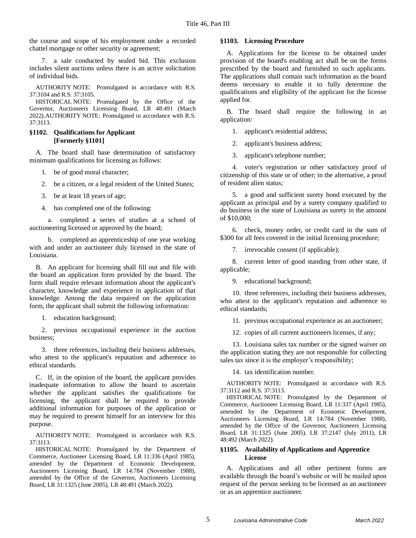the course and scope of his employment under a recorded chattel mortgage or other security or agreement;

7. a sale conducted by sealed bid. This exclusion includes silent auctions unless there is an active solicitation of individual bids.

AUTHORITY NOTE: Promulgated in accordance with R.S. 37:3104 and R.S. 37:3105.

HISTORICAL NOTE: Promulgated by the Office of the Governor, Auctioneers Licensing Board, LR 48:491 (March 2022).AUTHORITY NOTE: Promulgated in accordance with R.S. 37:3113.

#### <span id="page-6-0"></span>**§1102. Qualifications for Applicant [Formerly §1101]**

A. The board shall base determination of satisfactory minimum qualifications for licensing as follows:

- 1. be of good moral character;
- 2. be a citizen, or a legal resident of the United States;
- 3. be at least 18 years of age;
- 4. has completed one of the following:

a. completed a series of studies at a school of auctioneering licensed or approved by the board;

b. completed an apprenticeship of one year working with and under an auctioneer duly licensed in the state of Louisiana.

B. An applicant for licensing shall fill out and file with the board an application form provided by the board. The form shall require relevant information about the applicant's character, knowledge and experience in application of that knowledge. Among the data required on the application form, the applicant shall submit the following information:

1. education background;

2. previous occupational experience in the auction business;

3. three references, including their business addresses, who attest to the applicant's reputation and adherence to ethical standards.

C. If, in the opinion of the board, the applicant provides inadequate information to allow the board to ascertain whether the applicant satisfies the qualifications for licensing, the applicant shall be required to provide additional information for purposes of the application or may be required to present himself for an interview for this purpose.

AUTHORITY NOTE: Promulgated in accordance with R.S. 37:3113.

HISTORICAL NOTE: Promulgated by the Department of Commerce, Auctioneer Licensing Board, LR 11:336 (April 1985), amended by the Department of Economic Development, Auctioneers Licensing Board, LR 14:784 (November 1988), amended by the Office of the Governor, Auctioneers Licensing Board, LR 31:1325 (June 2005), LR 48:491 (March 2022).

#### <span id="page-6-1"></span>**§1103. Licensing Procedure**

A. Applications for the license to be obtained under provision of the board's enabling act shall be on the forms prescribed by the board and furnished to such applicants. The applications shall contain such information as the board deems necessary to enable it to fully determine the qualifications and eligibility of the applicant for the license applied for.

B. The board shall require the following in an application:

1. applicant's residential address;

2. applicant's business address;

3. applicant's telephone number;

4. voter's registration or other satisfactory proof of citizenship of this state or of other; in the alternative, a proof of resident alien status;

5. a good and sufficient surety bond executed by the applicant as principal and by a surety company qualified to do business in the state of Louisiana as surety in the amount of \$10,000;

6. check, money order, or credit card in the sum of \$300 for all fees covered in the initial licensing procedure;

7. irrevocable consent (if applicable);

8. current letter of good standing from other state, if applicable;

9. educational background;

10. three references, including their business addresses, who attest to the applicant's reputation and adherence to ethical standards;

11. previous occupational experience as an auctioneer;

12. copies of all current auctioneers licenses, if any;

13. Louisiana sales tax number or the signed waiver on the application stating they are not responsible for collecting sales tax since it is the employer's responsibility;

14. tax identification number.

AUTHORITY NOTE: Promulgated in accordance with R.S. 37:3112 and R.S. 37:3113.

HISTORICAL NOTE: Promulgated by the Department of Commerce, Auctioneer Licensing Board, LR 11:337 (April 1985), amended by the Department of Economic Development, Auctioneers Licensing Board, LR 14:784 (November 1988), amended by the Office of the Governor, Auctioneers Licensing Board, LR 31:1325 (June 2005). LR 37:2147 (July 2011), LR 48:492 (March 2022).

#### <span id="page-6-2"></span>**§1105. Availability of Applications and Apprentice License**

A. Applications and all other pertinent forms are available through the board's website or will be mailed upon request of the person seeking to be licensed as an auctioneer or as an apprentice auctioneer.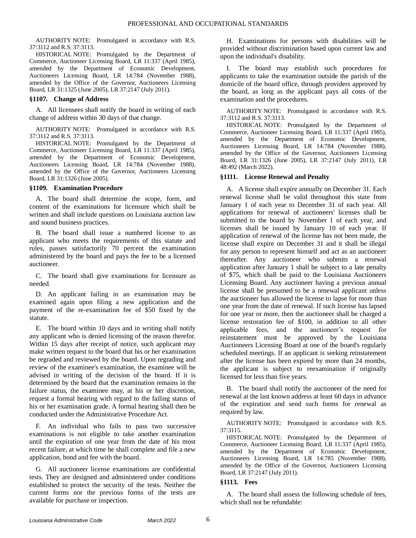AUTHORITY NOTE: Promulgated in accordance with R.S. 37:3112 and R.S. 37:3113.

HISTORICAL NOTE: Promulgated by the Department of Commerce, Auctioneer Licensing Board, LR 11:337 (April 1985), amended by the Department of Economic Development, Auctioneers Licensing Board, LR 14:784 (November 1988), amended by the Office of the Governor, Auctioneers Licensing Board, LR 31:1325 (June 2005), LR 37:2147 (July 2011).

#### <span id="page-7-0"></span>**§1107. Change of Address**

A. All licensees shall notify the board in writing of each change of address within 30 days of that change.

AUTHORITY NOTE: Promulgated in accordance with R.S. 37:3112 and R.S. 37:3113.

HISTORICAL NOTE: Promulgated by the Department of Commerce, Auctioneer Licensing Board, LR 11:337 (April 1985), amended by the Department of Economic Development, Auctioneers Licensing Board, LR 14:784 (November 1988), amended by the Office of the Governor, Auctioneers Licensing Board, LR 31:1326 (June 2005).

#### <span id="page-7-1"></span>**§1109. Examination Procedure**

A. The board shall determine the scope, form, and content of the examinations for licensure which shall be written and shall include questions on Louisiana auction law and sound business practices.

B. The board shall issue a numbered license to an applicant who meets the requirements of this statute and rules, passes satisfactorily 70 percent the examination administered by the board and pays the fee to be a licensed auctioneer.

C. The board shall give examinations for licensure as needed.

D. An applicant failing in an examination may be examined again upon filing a new application and the payment of the re-examination fee of \$50 fixed by the statute.

E. The board within 10 days and in writing shall notify any applicant who is denied licensing of the reason therefor. Within 15 days after receipt of notice, such applicant may make written request to the board that his or her examination be regraded and reviewed by the board. Upon regrading and review of the examinee's examination, the examinee will be advised in writing of the decision of the board. If it is determined by the board that the examination remains in the failure status, the examinee may, at his or her discretion, request a formal hearing with regard to the failing status of his or her examination grade. A formal hearing shall then be conducted under the Administrative Procedure Act.

F. An individual who fails to pass two successive examinations is not eligible to take another examination until the expiration of one year from the date of his most recent failure, at which time he shall complete and file a new application, bond and fee with the board.

G. All auctioneer license examinations are confidential tests. They are designed and administered under conditions established to protect the security of the tests. Neither the current forms nor the previous forms of the tests are available for purchase or inspection.

H. Examinations for persons with disabilities will be provided without discrimination based upon current law and upon the individual's disability.

I. The board may establish such procedures for applicants to take the examination outside the parish of the domicile of the board office, through providers approved by the board, as long as the applicant pays all costs of the examination and the procedures.

AUTHORITY NOTE: Promulgated in accordance with R.S. 37:3112 and R.S. 37:3113.

HISTORICAL NOTE: Promulgated by the Department of Commerce, Auctioneer Licensing Board, LR 11:337 (April 1985), amended by the Department of Economic Development, Auctioneers Licensing Board, LR 14:784 (November 1988), amended by the Office of the Governor, Auctioneers Licensing Board, LR 31:1326 (June 2005), LR 37:2147 (July 2011), LR 48:492 (March 2022).

#### <span id="page-7-2"></span>**§1111. License Renewal and Penalty**

A. A license shall expire annually on December 31. Each renewal license shall be valid throughout this state from January 1 of each year to December 31 of each year. All applications for renewal of auctioneers' licenses shall be submitted to the board by November 1 of each year, and licenses shall be issued by January 10 of each year. If application of renewal of the license has not been made, the license shall expire on December 31 and it shall be illegal for any person to represent himself and act as an auctioneer thereafter. Any auctioneer who submits a renewal application after January 1 shall be subject to a late penalty of \$75, which shall be paid to the Louisiana Auctioneers Licensing Board. Any auctioneer having a previous annual license shall be presumed to be a renewal applicant unless the auctioneer has allowed the license to lapse for more than one year from the date of renewal. If such license has lapsed for one year or more, then the auctioneer shall be charged a license restoration fee of \$100, in addition to all other applicable fees, and the auctioneer's request for reinstatement must be approved by the Louisiana Auctioneers Licensing Board at one of the board's regularly scheduled meetings. If an applicant is seeking reinstatement after the license has been expired by more than 24 months, the applicant is subject to reexamination if originally licensed for less than five years.

B. The board shall notify the auctioneer of the need for renewal at the last known address at least 60 days in advance of the expiration and send such forms for renewal as required by law.

AUTHORITY NOTE: Promulgated in accordance with R.S. 37:3115.

HISTORICAL NOTE: Promulgated by the Department of Commerce, Auctioneer Licensing Board, LR 11:337 (April 1985), amended by the Department of Economic Development, Auctioneers Licensing Board, LR 14:785 (November 1988), amended by the Office of the Governor, Auctioneers Licensing Board, LR 37:2147 (July 2011).

#### <span id="page-7-3"></span>**§1113. Fees**

A. The board shall assess the following schedule of fees, which shall not be refundable: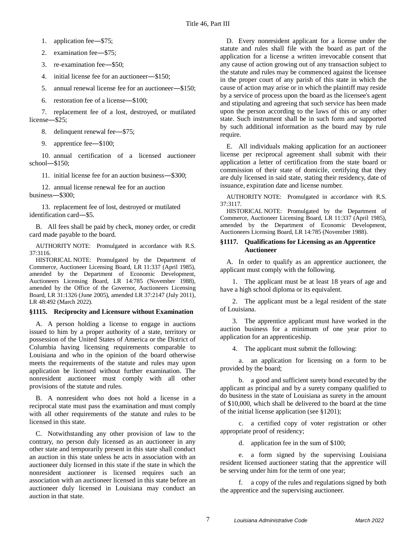1. application fee―\$75;

2. examination fee―\$75;

3. re-examination fee―\$50;

4. initial license fee for an auctioneer―\$150;

5. annual renewal license fee for an auctioneer―\$150;

6. restoration fee of a license―\$100;

7. replacement fee of a lost, destroyed, or mutilated license―\$25;

8. delinquent renewal fee—\$75;

9. apprentice fee―\$100;

10. annual certification of a licensed auctioneer school―\$150;

11. initial license fee for an auction business―\$300;

12. annual license renewal fee for an auction business―\$300;

13. replacement fee of lost, destroyed or mutilated identification card―\$5.

B. All fees shall be paid by check, money order, or credit card made payable to the board.

AUTHORITY NOTE: Promulgated in accordance with R.S. 37:3116.

HISTORICAL NOTE: Promulgated by the Department of Commerce, Auctioneer Licensing Board, LR 11:337 (April 1985), amended by the Department of Economic Development, Auctioneers Licensing Board, LR 14:785 (November 1988), amended by the Office of the Governor, Auctioneers Licensing Board, LR 31:1326 (June 2005), amended LR 37:2147 (July 2011), LR 48:492 (March 2022).

#### <span id="page-8-0"></span>**§1115. Reciprocity and Licensure without Examination**

A. A person holding a license to engage in auctions issued to him by a proper authority of a state, territory or possession of the United States of America or the District of Columbia having licensing requirements comparable to Louisiana and who in the opinion of the board otherwise meets the requirements of the statute and rules may upon application be licensed without further examination. The nonresident auctioneer must comply with all other provisions of the statute and rules.

B. A nonresident who does not hold a license in a reciprocal state must pass the examination and must comply with all other requirements of the statute and rules to be licensed in this state.

C. Notwithstanding any other provision of law to the contrary, no person duly licensed as an auctioneer in any other state and temporarily present in this state shall conduct an auction in this state unless he acts in association with an auctioneer duly licensed in this state if the state in which the nonresident auctioneer is licensed requires such an association with an auctioneer licensed in this state before an auctioneer duly licensed in Louisiana may conduct an auction in that state.

D. Every nonresident applicant for a license under the statute and rules shall file with the board as part of the application for a license a written irrevocable consent that any cause of action growing out of any transaction subject to the statute and rules may be commenced against the licensee in the proper court of any parish of this state in which the cause of action may arise or in which the plaintiff may reside by a service of process upon the board as the licensee's agent and stipulating and agreeing that such service has been made upon the person according to the laws of this or any other state. Such instrument shall be in such form and supported by such additional information as the board may by rule require.

E. All individuals making application for an auctioneer license per reciprocal agreement shall submit with their application a letter of certification from the state board or commission of their state of domicile, certifying that they are duly licensed in said state, stating their residency, date of issuance, expiration date and license number.

AUTHORITY NOTE: Promulgated in accordance with R.S. 37:3117.

HISTORICAL NOTE: Promulgated by the Department of Commerce, Auctioneer Licensing Board, LR 11:337 (April 1985), amended by the Department of Economic Development, Auctioneers Licensing Board, LR 14:785 (November 1988).

#### <span id="page-8-1"></span>**§1117. Qualifications for Licensing as an Apprentice Auctioneer**

A. In order to qualify as an apprentice auctioneer, the applicant must comply with the following.

1. The applicant must be at least 18 years of age and have a high school diploma or its equivalent.

2. The applicant must be a legal resident of the state of Louisiana.

3. The apprentice applicant must have worked in the auction business for a minimum of one year prior to application for an apprenticeship.

4. The applicant must submit the following:

a. an application for licensing on a form to be provided by the board;

b. a good and sufficient surety bond executed by the applicant as principal and by a surety company qualified to do business in the state of Louisiana as surety in the amount of \$10,000, which shall be delivered to the board at the time of the initial license application (see §1201);

c. a certified copy of voter registration or other appropriate proof of residency;

d. application fee in the sum of \$100;

e. a form signed by the supervising Louisiana resident licensed auctioneer stating that the apprentice will be serving under him for the term of one year;

f. a copy of the rules and regulations signed by both the apprentice and the supervising auctioneer.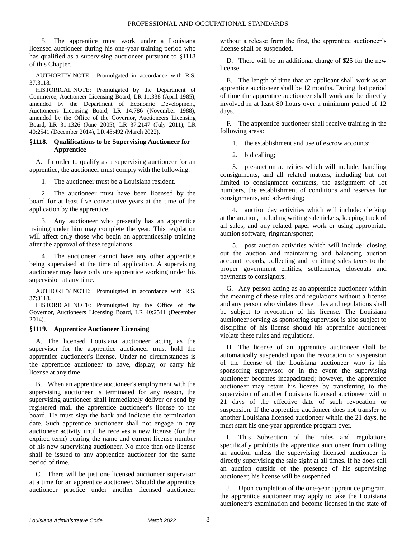5. The apprentice must work under a Louisiana licensed auctioneer during his one-year training period who has qualified as a supervising auctioneer pursuant to §1118 of this Chapter.

AUTHORITY NOTE: Promulgated in accordance with R.S. 37:3118.

HISTORICAL NOTE: Promulgated by the Department of Commerce, Auctioneer Licensing Board, LR 11:338 (April 1985), amended by the Department of Economic Development, Auctioneers Licensing Board, LR 14:786 (November 1988), amended by the Office of the Governor, Auctioneers Licensing Board, LR 31:1326 (June 2005), LR 37:2147 (July 2011), LR 40:2541 (December 2014), LR 48:492 (March 2022).

#### <span id="page-9-0"></span>**§1118. Qualifications to be Supervising Auctioneer for Apprentice**

A. In order to qualify as a supervising auctioneer for an apprentice, the auctioneer must comply with the following.

1. The auctioneer must be a Louisiana resident.

2. The auctioneer must have been licensed by the board for at least five consecutive years at the time of the application by the apprentice.

3. Any auctioneer who presently has an apprentice training under him may complete the year. This regulation will affect only those who begin an apprenticeship training after the approval of these regulations.

4. The auctioneer cannot have any other apprentice being supervised at the time of application. A supervising auctioneer may have only one apprentice working under his supervision at any time.

AUTHORITY NOTE: Promulgated in accordance with R.S. 37:3118.

HISTORICAL NOTE: Promulgated by the Office of the Governor, Auctioneers Licensing Board, LR 40:2541 (December 2014).

#### <span id="page-9-1"></span>**§1119. Apprentice Auctioneer Licensing**

A. The licensed Louisiana auctioneer acting as the supervisor for the apprentice auctioneer must hold the apprentice auctioneer's license. Under no circumstances is the apprentice auctioneer to have, display, or carry his license at any time.

B. When an apprentice auctioneer's employment with the supervising auctioneer is terminated for any reason, the supervising auctioneer shall immediately deliver or send by registered mail the apprentice auctioneer's license to the board. He must sign the back and indicate the termination date. Such apprentice auctioneer shall not engage in any auctioneer activity until he receives a new license (for the expired term) bearing the name and current license number of his new supervising auctioneer. No more than one license shall be issued to any apprentice auctioneer for the same period of time.

C. There will be just one licensed auctioneer supervisor at a time for an apprentice auctioneer. Should the apprentice auctioneer practice under another licensed auctioneer without a release from the first, the apprentice auctioneer's license shall be suspended.

D. There will be an additional charge of \$25 for the new license.

E. The length of time that an applicant shall work as an apprentice auctioneer shall be 12 months. During that period of time the apprentice auctioneer shall work and be directly involved in at least 80 hours over a minimum period of 12 days.

F. The apprentice auctioneer shall receive training in the following areas:

1. the establishment and use of escrow accounts;

2. bid calling;

3. pre-auction activities which will include: handling consignments, and all related matters, including but not limited to consignment contracts, the assignment of lot numbers, the establishment of conditions and reserves for consignments, and advertising;

4. auction day activities which will include: clerking at the auction, including writing sale tickets, keeping track of all sales, and any related paper work or using appropriate auction software, ringman/spotter;

5. post auction activities which will include: closing out the auction and maintaining and balancing auction account records, collecting and remitting sales taxes to the proper government entities, settlements, closeouts and payments to consignors.

G. Any person acting as an apprentice auctioneer within the meaning of these rules and regulations without a license and any person who violates these rules and regulations shall be subject to revocation of his license. The Louisiana auctioneer serving as sponsoring supervisor is also subject to discipline of his license should his apprentice auctioneer violate these rules and regulations.

H. The license of an apprentice auctioneer shall be automatically suspended upon the revocation or suspension of the license of the Louisiana auctioneer who is his sponsoring supervisor or in the event the supervising auctioneer becomes incapacitated; however, the apprentice auctioneer may retain his license by transferring to the supervision of another Louisiana licensed auctioneer within 21 days of the effective date of such revocation or suspension. If the apprentice auctioneer does not transfer to another Louisiana licensed auctioneer within the 21 days, he must start his one-year apprentice program over.

I. This Subsection of the rules and regulations specifically prohibits the apprentice auctioneer from calling an auction unless the supervising licensed auctioneer is directly supervising the sale sight at all times. If he does call an auction outside of the presence of his supervising auctioneer, his license will be suspended.

J. Upon completion of the one-year apprentice program, the apprentice auctioneer may apply to take the Louisiana auctioneer's examination and become licensed in the state of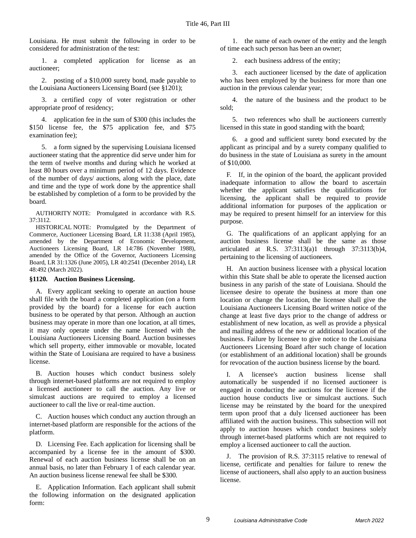Louisiana. He must submit the following in order to be considered for administration of the test:

1. a completed application for license as an auctioneer;

2. posting of a \$10,000 surety bond, made payable to the Louisiana Auctioneers Licensing Board (see §1201);

3. a certified copy of voter registration or other appropriate proof of residency;

4. application fee in the sum of \$300 (this includes the \$150 license fee, the \$75 application fee, and \$75 examination fee);

5. a form signed by the supervising Louisiana licensed auctioneer stating that the apprentice did serve under him for the term of twelve months and during which he worked at least 80 hours over a minimum period of 12 days. Evidence of the number of days/ auctions, along with the place, date and time and the type of work done by the apprentice shall be established by completion of a form to be provided by the board.

AUTHORITY NOTE: Promulgated in accordance with R.S. 37:3112.

HISTORICAL NOTE: Promulgated by the Department of Commerce, Auctioneer Licensing Board, LR 11:338 (April 1985), amended by the Department of Economic Development, Auctioneers Licensing Board, LR 14:786 (November 1988), amended by the Office of the Governor, Auctioneers Licensing Board, LR 31:1326 (June 2005), LR 40:2541 (December 2014), LR 48:492 (March 2022).

#### <span id="page-10-0"></span>**§1120. Auction Business Licensing.**

A. Every applicant seeking to operate an auction house shall file with the board a completed application (on a form provided by the board) for a license for each auction business to be operated by that person. Although an auction business may operate in more than one location, at all times, it may only operate under the name licensed with the Louisiana Auctioneers Licensing Board. Auction businesses which sell property, either immovable or movable, located within the State of Louisiana are required to have a business license.

B. Auction houses which conduct business solely through internet-based platforms are not required to employ a licensed auctioneer to call the auction. Any live or simulcast auctions are required to employ a licensed auctioneer to call the live or real-time auction.

C. Auction houses which conduct any auction through an internet-based platform are responsible for the actions of the platform.

D. Licensing Fee. Each application for licensing shall be accompanied by a license fee in the amount of \$300. Renewal of each auction business license shall be on an annual basis, no later than February 1 of each calendar year. An auction business license renewal fee shall be \$300.

E. Application Information. Each applicant shall submit the following information on the designated application form:

1. the name of each owner of the entity and the length of time each such person has been an owner;

2. each business address of the entity;

3. each auctioneer licensed by the date of application who has been employed by the business for more than one auction in the previous calendar year;

4. the nature of the business and the product to be sold;

5. two references who shall be auctioneers currently licensed in this state in good standing with the board;

6. a good and sufficient surety bond executed by the applicant as principal and by a surety company qualified to do business in the state of Louisiana as surety in the amount of \$10,000.

F. If, in the opinion of the board, the applicant provided inadequate information to allow the board to ascertain whether the applicant satisfies the qualifications for licensing, the applicant shall be required to provide additional information for purposes of the application or may be required to present himself for an interview for this purpose.

G. The qualifications of an applicant applying for an auction business license shall be the same as those articulated at R.S. 37:3113(a)1 through 37:3113(b)4, pertaining to the licensing of auctioneers.

H. An auction business licensee with a physical location within this State shall be able to operate the licensed auction business in any parish of the state of Louisiana. Should the licensee desire to operate the business at more than one location or change the location, the licensee shall give the Louisiana Auctioneers Licensing Board written notice of the change at least five days prior to the change of address or establishment of new location, as well as provide a physical and mailing address of the new or additional location of the business. Failure by licensee to give notice to the Louisiana Auctioneers Licensing Board after such change of location (or establishment of an additional location) shall be grounds for revocation of the auction business license by the board.

I. A licensee's auction business license shall automatically be suspended if no licensed auctioneer is engaged in conducting the auctions for the licensee if the auction house conducts live or simulcast auctions. Such license may be reinstated by the board for the unexpired term upon proof that a duly licensed auctioneer has been affiliated with the auction business. This subsection will not apply to auction houses which conduct business solely through internet-based platforms which are not required to employ a licensed auctioneer to call the auction.

J. The provision of R.S. 37:3115 relative to renewal of license, certificate and penalties for failure to renew the license of auctioneers, shall also apply to an auction business license.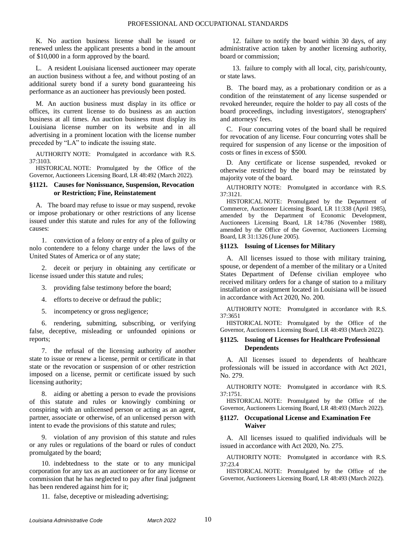K. No auction business license shall be issued or renewed unless the applicant presents a bond in the amount of \$10,000 in a form approved by the board.

L. A resident Louisiana licensed auctioneer may operate an auction business without a fee, and without posting of an additional surety bond if a surety bond guaranteeing his performance as an auctioneer has previously been posted.

M. An auction business must display in its office or offices, its current license to do business as an auction business at all times. An auction business must display its Louisiana license number on its website and in all advertising in a prominent location with the license number preceded by "LA" to indicate the issuing state.

AUTHORITY NOTE: Promulgated in accordance with R.S. 37:3103.

HISTORICAL NOTE: Promulgated by the Office of the Governor, Auctioneers Licensing Board, LR 48:492 (March 2022).

#### <span id="page-11-0"></span>**§1121. Causes for Nonissuance, Suspension, Revocation or Restriction; Fine, Reinstatement**

A. The board may refuse to issue or may suspend, revoke or impose probationary or other restrictions of any license issued under this statute and rules for any of the following causes:

1. conviction of a felony or entry of a plea of guilty or nolo contendere to a felony charge under the laws of the United States of America or of any state;

2. deceit or perjury in obtaining any certificate or license issued under this statute and rules;

- 3. providing false testimony before the board;
- 4. efforts to deceive or defraud the public;
- 5. incompetency or gross negligence;

6. rendering, submitting, subscribing, or verifying false, deceptive, misleading or unfounded opinions or reports;

7. the refusal of the licensing authority of another state to issue or renew a license, permit or certificate in that state or the revocation or suspension of or other restriction imposed on a license, permit or certificate issued by such licensing authority;

8. aiding or abetting a person to evade the provisions of this statute and rules or knowingly combining or conspiring with an unlicensed person or acting as an agent, partner, associate or otherwise, of an unlicensed person with intent to evade the provisions of this statute and rules;

9. violation of any provision of this statute and rules or any rules or regulations of the board or rules of conduct promulgated by the board;

10. indebtedness to the state or to any municipal corporation for any tax as an auctioneer or for any license or commission that he has neglected to pay after final judgment has been rendered against him for it;

11. false, deceptive or misleading advertising;

12. failure to notify the board within 30 days, of any administrative action taken by another licensing authority, board or commission;

13. failure to comply with all local, city, parish/county, or state laws.

B. The board may, as a probationary condition or as a condition of the reinstatement of any license suspended or revoked hereunder, require the holder to pay all costs of the board proceedings, including investigators', stenographers' and attorneys' fees.

C. Four concurring votes of the board shall be required for revocation of any license. Four concurring votes shall be required for suspension of any license or the imposition of costs or fines in excess of \$500.

D. Any certificate or license suspended, revoked or otherwise restricted by the board may be reinstated by majority vote of the board.

AUTHORITY NOTE: Promulgated in accordance with R.S. 37:3121.

HISTORICAL NOTE: Promulgated by the Department of Commerce, Auctioneer Licensing Board, LR 11:338 (April 1985), amended by the Department of Economic Development, Auctioneers Licensing Board, LR 14:786 (November 1988), amended by the Office of the Governor, Auctioneers Licensing Board, LR 31:1326 (June 2005).

#### <span id="page-11-1"></span>**§1123. Issuing of Licenses for Military**

A. All licenses issued to those with military training, spouse, or dependent of a member of the military or a United States Department of Defense civilian employee who received military orders for a change of station to a military installation or assignment located in Louisiana will be issued in accordance with Act 2020, No. 200.

AUTHORITY NOTE: Promulgated in accordance with R.S. 37:3651

HISTORICAL NOTE: Promulgated by the Office of the Governor, Auctioneers Licensing Board, LR 48:493 (March 2022).

#### <span id="page-11-2"></span>**§1125. Issuing of Licenses for Healthcare Professional Dependents**

A. All licenses issued to dependents of healthcare professionals will be issued in accordance with Act 2021, No. 279.

AUTHORITY NOTE: Promulgated in accordance with R.S. 37:1751.

HISTORICAL NOTE: Promulgated by the Office of the Governor, Auctioneers Licensing Board, LR 48:493 (March 2022).

#### <span id="page-11-3"></span>**§1127. Occupational License and Examination Fee Waiver**

A. All licenses issued to qualified individuals will be issued in accordance with Act 2020, No. 275.

AUTHORITY NOTE: Promulgated in accordance with R.S. 37:23.4

HISTORICAL NOTE: Promulgated by the Office of the Governor, Auctioneers Licensing Board, LR 48:493 (March 2022).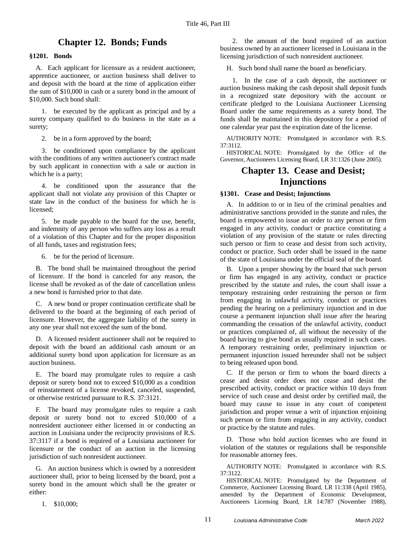## **Chapter 12. Bonds; Funds**

#### <span id="page-12-1"></span><span id="page-12-0"></span>**§1201. Bonds**

A. Each applicant for licensure as a resident auctioneer, apprentice auctioneer, or auction business shall deliver to and deposit with the board at the time of application either the sum of \$10,000 in cash or a surety bond in the amount of \$10,000. Such bond shall:

1. be executed by the applicant as principal and by a surety company qualified to do business in the state as a surety;

2. be in a form approved by the board;

3. be conditioned upon compliance by the applicant with the conditions of any written auctioneer's contract made by such applicant in connection with a sale or auction in which he is a party;

4. be conditioned upon the assurance that the applicant shall not violate any provision of this Chapter or state law in the conduct of the business for which he is licensed;

5. be made payable to the board for the use, benefit, and indemnity of any person who suffers any loss as a result of a violation of this Chapter and for the proper disposition of all funds, taxes and registration fees;

6. be for the period of licensure.

B. The bond shall be maintained throughout the period of licensure. If the bond is canceled for any reason, the license shall be revoked as of the date of cancellation unless a new bond is furnished prior to that date.

C. A new bond or proper continuation certificate shall be delivered to the board at the beginning of each period of licensure. However, the aggregate liability of the surety in any one year shall not exceed the sum of the bond.

D. A licensed resident auctioneer shall not be required to deposit with the board an additional cash amount or an additional surety bond upon application for licensure as an auction business.

E. The board may promulgate rules to require a cash deposit or surety bond not to exceed \$10,000 as a condition of reinstatement of a license revoked, canceled, suspended, or otherwise restricted pursuant to R.S. 37:3121.

F. The board may promulgate rules to require a cash deposit or surety bond not to exceed \$10,000 of a nonresident auctioneer either licensed in or conducting an auction in Louisiana under the reciprocity provisions of R.S. 37:3117 if a bond is required of a Louisiana auctioneer for licensure or the conduct of an auction in the licensing jurisdiction of such nonresident auctioneer.

G. An auction business which is owned by a nonresident auctioneer shall, prior to being licensed by the board, post a surety bond in the amount which shall be the greater or either:

1. \$10,000;

2. the amount of the bond required of an auction business owned by an auctioneer licensed in Louisiana in the licensing jurisdiction of such nonresident auctioneer.

H. Such bond shall name the board as beneficiary.

1. In the case of a cash deposit, the auctioneer or auction business making the cash deposit shall deposit funds in a recognized state depository with the account or certificate pledged to the Louisiana Auctioneer Licensing Board under the same requirements as a surety bond. The funds shall be maintained in this depository for a period of one calendar year past the expiration date of the license.

AUTHORITY NOTE: Promulgated in accordance with R.S. 37:3112.

<span id="page-12-2"></span>HISTORICAL NOTE: Promulgated by the Office of the Governor, Auctioneers Licensing Board, LR 31:1326 (June 2005).

## **Chapter 13. Cease and Desist; Injunctions**

#### <span id="page-12-3"></span>**§1301. Cease and Desist; Injunctions**

A. In addition to or in lieu of the criminal penalties and administrative sanctions provided in the statute and rules, the board is empowered to issue an order to any person or firm engaged in any activity, conduct or practice constituting a violation of any provision of the statute or rules directing such person or firm to cease and desist from such activity, conduct or practice. Such order shall be issued in the name of the state of Louisiana under the official seal of the board.

B. Upon a proper showing by the board that such person or firm has engaged in any activity, conduct or practice prescribed by the statute and rules, the court shall issue a temporary restraining order restraining the person or firm from engaging in unlawful activity, conduct or practices pending the hearing on a preliminary injunction and in due course a permanent injunction shall issue after the hearing commanding the cessation of the unlawful activity, conduct or practices complained of, all without the necessity of the board having to give bond as usually required in such cases. A temporary restraining order, preliminary injunction or permanent injunction issued hereunder shall not be subject to being released upon bond.

C. If the person or firm to whom the board directs a cease and desist order does not cease and desist the prescribed activity, conduct or practice within 10 days from service of such cease and desist order by certified mail, the board may cause to issue in any court of competent jurisdiction and proper venue a writ of injunction enjoining such person or firm from engaging in any activity, conduct or practice by the statute and rules.

D. Those who hold auction licenses who are found in violation of the statutes or regulations shall be responsible for reasonable attorney fees.

AUTHORITY NOTE: Promulgated in accordance with R.S. 37:3122.

HISTORICAL NOTE: Promulgated by the Department of Commerce, Auctioneer Licensing Board, LR 11:338 (April 1985), amended by the Department of Economic Development, Auctioneers Licensing Board, LR 14:787 (November 1988),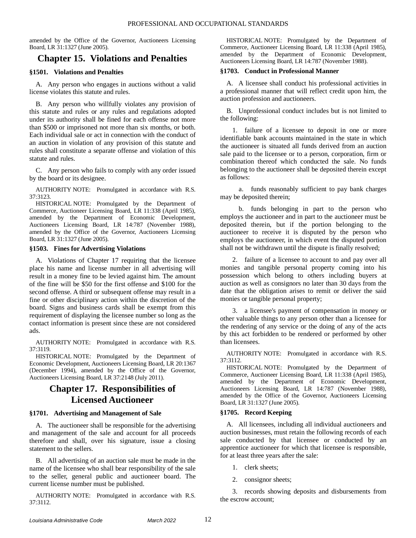amended by the Office of the Governor, Auctioneers Licensing Board, LR 31:1327 (June 2005).

## <span id="page-13-0"></span>**Chapter 15. Violations and Penalties**

#### <span id="page-13-1"></span>**§1501. Violations and Penalties**

A. Any person who engages in auctions without a valid license violates this statute and rules.

B. Any person who willfully violates any provision of this statute and rules or any rules and regulations adopted under its authority shall be fined for each offense not more than \$500 or imprisoned not more than six months, or both. Each individual sale or act in connection with the conduct of an auction in violation of any provision of this statute and rules shall constitute a separate offense and violation of this statute and rules.

C. Any person who fails to comply with any order issued by the board or its designee.

AUTHORITY NOTE: Promulgated in accordance with R.S. 37:3123.

HISTORICAL NOTE: Promulgated by the Department of Commerce, Auctioneer Licensing Board, LR 11:338 (April 1985), amended by the Department of Economic Development, Auctioneers Licensing Board, LR 14:787 (November 1988), amended by the Office of the Governor, Auctioneers Licensing Board, LR 31:1327 (June 2005).

#### <span id="page-13-2"></span>**§1503. Fines for Advertising Violations**

A. Violations of Chapter 17 requiring that the licensee place his name and license number in all advertising will result in a money fine to be levied against him. The amount of the fine will be \$50 for the first offense and \$100 for the second offense. A third or subsequent offense may result in a fine or other disciplinary action within the discretion of the board. Signs and business cards shall be exempt from this requirement of displaying the licensee number so long as the contact information is present since these are not considered ads.

AUTHORITY NOTE: Promulgated in accordance with R.S. 37:3119.

HISTORICAL NOTE: Promulgated by the Department of Economic Development, Auctioneers Licensing Board, LR 20:1367 (December 1994), amended by the Office of the Governor, Auctioneers Licensing Board, LR 37:2148 (July 2011).

## <span id="page-13-3"></span>**Chapter 17. Responsibilities of Licensed Auctioneer**

#### <span id="page-13-4"></span>**§1701. Advertising and Management of Sale**

A. The auctioneer shall be responsible for the advertising and management of the sale and account for all proceeds therefore and shall, over his signature, issue a closing statement to the sellers.

B. All advertising of an auction sale must be made in the name of the licensee who shall bear responsibility of the sale to the seller, general public and auctioneer board. The current license number must be published.

AUTHORITY NOTE: Promulgated in accordance with R.S. 37:3112.

HISTORICAL NOTE: Promulgated by the Department of Commerce, Auctioneer Licensing Board, LR 11:338 (April 1985), amended by the Department of Economic Development, Auctioneers Licensing Board, LR 14:787 (November 1988).

#### <span id="page-13-5"></span>**§1703. Conduct in Professional Manner**

A. A licensee shall conduct his professional activities in a professional manner that will reflect credit upon him, the auction profession and auctioneers.

B. Unprofessional conduct includes but is not limited to the following:

1. failure of a licensee to deposit in one or more identifiable bank accounts maintained in the state in which the auctioneer is situated all funds derived from an auction sale paid to the licensee or to a person, corporation, firm or combination thereof which conducted the sale. No funds belonging to the auctioneer shall be deposited therein except as follows:

a. funds reasonably sufficient to pay bank charges may be deposited therein;

b. funds belonging in part to the person who employs the auctioneer and in part to the auctioneer must be deposited therein, but if the portion belonging to the auctioneer to receive it is disputed by the person who employs the auctioneer, in which event the disputed portion shall not be withdrawn until the dispute is finally resolved;

2. failure of a licensee to account to and pay over all monies and tangible personal property coming into his possession which belong to others including buyers at auction as well as consignors no later than 30 days from the date that the obligation arises to remit or deliver the said monies or tangible personal property;

3. a licensee's payment of compensation in money or other valuable things to any person other than a licensee for the rendering of any service or the doing of any of the acts by this act forbidden to be rendered or performed by other than licensees.

AUTHORITY NOTE: Promulgated in accordance with R.S. 37:3112.

HISTORICAL NOTE: Promulgated by the Department of Commerce, Auctioneer Licensing Board, LR 11:338 (April 1985), amended by the Department of Economic Development, Auctioneers Licensing Board, LR 14:787 (November 1988), amended by the Office of the Governor, Auctioneers Licensing Board, LR 31:1327 (June 2005).

#### <span id="page-13-6"></span>**§1705. Record Keeping**

A. All licensees, including all individual auctioneers and auction businesses, must retain the following records of each sale conducted by that licensee or conducted by an apprentice auctioneer for which that licensee is responsible, for at least three years after the sale:

- 1. clerk sheets;
- 2. consignor sheets;

3. records showing deposits and disbursements from the escrow account;